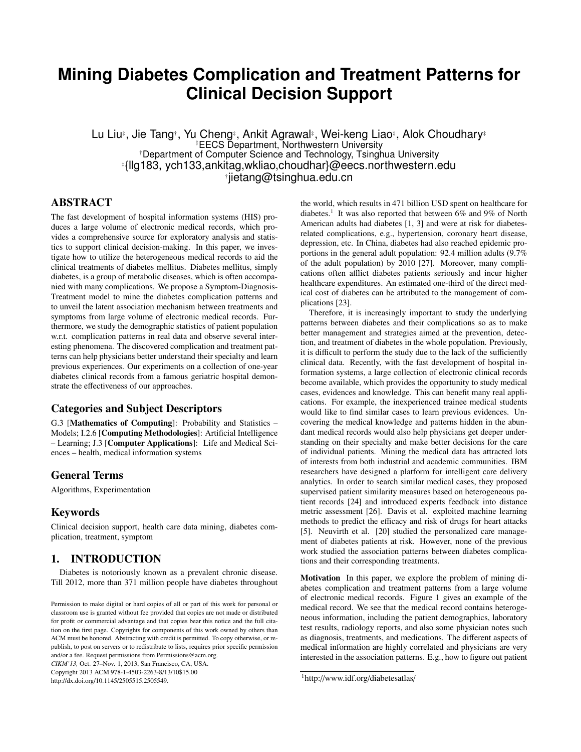# **Mining Diabetes Complication and Treatment Patterns for Clinical Decision Support**

Lu Liu‡, Jie Tang†, Yu Cheng‡, Ankit Agrawal‡, Wei-keng Liao‡, Alok Choudhary‡ ‡EECS Department, Northwestern University †Department of Computer Science and Technology, Tsinghua University ‡{llg183, ych133,ankitag,wkliao,choudhar}@eecs.northwestern.edu †jietang@tsinghua.edu.cn

## ABSTRACT

The fast development of hospital information systems (HIS) produces a large volume of electronic medical records, which provides a comprehensive source for exploratory analysis and statistics to support clinical decision-making. In this paper, we investigate how to utilize the heterogeneous medical records to aid the clinical treatments of diabetes mellitus. Diabetes mellitus, simply diabetes, is a group of metabolic diseases, which is often accompanied with many complications. We propose a Symptom-Diagnosis-Treatment model to mine the diabetes complication patterns and to unveil the latent association mechanism between treatments and symptoms from large volume of electronic medical records. Furthermore, we study the demographic statistics of patient population w.r.t. complication patterns in real data and observe several interesting phenomena. The discovered complication and treatment patterns can help physicians better understand their specialty and learn previous experiences. Our experiments on a collection of one-year diabetes clinical records from a famous geriatric hospital demonstrate the effectiveness of our approaches.

#### Categories and Subject Descriptors

G.3 [Mathematics of Computing]: Probability and Statistics – Models; I.2.6 [Computing Methodologies]: Artificial Intelligence – Learning; J.3 [Computer Applications]: Life and Medical Sciences – health, medical information systems

#### General Terms

Algorithms, Experimentation

## Keywords

Clinical decision support, health care data mining, diabetes complication, treatment, symptom

# 1. INTRODUCTION

Diabetes is notoriously known as a prevalent chronic disease. Till 2012, more than 371 million people have diabetes throughout

*CIKM'13,* Oct. 27–Nov. 1, 2013, San Francisco, CA, USA. Copyright 2013 ACM 978-1-4503-2263-8/13/10\$15.00 http://dx.doi.org/10.1145/2505515.2505549.

the world, which results in 471 billion USD spent on healthcare for diabetes.<sup>1</sup> It was also reported that between 6% and 9% of North American adults had diabetes [1, 3] and were at risk for diabetesrelated complications, e.g., hypertension, coronary heart disease, depression, etc. In China, diabetes had also reached epidemic proportions in the general adult population: 92.4 million adults (9.7% of the adult population) by 2010 [27]. Moreover, many complications often afflict diabetes patients seriously and incur higher healthcare expenditures. An estimated one-third of the direct medical cost of diabetes can be attributed to the management of complications [23].

Therefore, it is increasingly important to study the underlying patterns between diabetes and their complications so as to make better management and strategies aimed at the prevention, detection, and treatment of diabetes in the whole population. Previously, it is difficult to perform the study due to the lack of the sufficiently clinical data. Recently, with the fast development of hospital information systems, a large collection of electronic clinical records become available, which provides the opportunity to study medical cases, evidences and knowledge. This can benefit many real applications. For example, the inexperienced trainee medical students would like to find similar cases to learn previous evidences. Uncovering the medical knowledge and patterns hidden in the abundant medical records would also help physicians get deeper understanding on their specialty and make better decisions for the care of individual patients. Mining the medical data has attracted lots of interests from both industrial and academic communities. IBM researchers have designed a platform for intelligent care delivery analytics. In order to search similar medical cases, they proposed supervised patient similarity measures based on heterogeneous patient records [24] and introduced experts feedback into distance metric assessment [26]. Davis et al. exploited machine learning methods to predict the efficacy and risk of drugs for heart attacks [5]. Neuvirth et al. [20] studied the personalized care management of diabetes patients at risk. However, none of the previous work studied the association patterns between diabetes complications and their corresponding treatments.

Motivation In this paper, we explore the problem of mining diabetes complication and treatment patterns from a large volume of electronic medical records. Figure 1 gives an example of the medical record. We see that the medical record contains heterogeneous information, including the patient demographics, laboratory test results, radiology reports, and also some physician notes such as diagnosis, treatments, and medications. The different aspects of medical information are highly correlated and physicians are very interested in the association patterns. E.g., how to figure out patient

Permission to make digital or hard copies of all or part of this work for personal or classroom use is granted without fee provided that copies are not made or distributed for profit or commercial advantage and that copies bear this notice and the full citation on the first page. Copyrights for components of this work owned by others than ACM must be honored. Abstracting with credit is permitted. To copy otherwise, or republish, to post on servers or to redistribute to lists, requires prior specific permission and/or a fee. Request permissions from Permissions@acm.org.

<sup>1</sup>http://www.idf.org/diabetesatlas/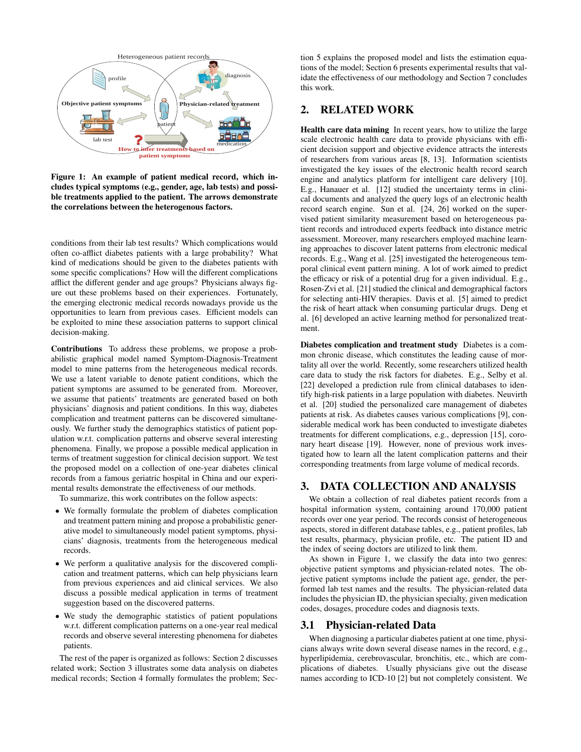

Figure 1: An example of patient medical record, which includes typical symptoms (e.g., gender, age, lab tests) and possible treatments applied to the patient. The arrows demonstrate the correlations between the heterogenous factors.

conditions from their lab test results? Which complications would often co-afflict diabetes patients with a large probability? What kind of medications should be given to the diabetes patients with some specific complications? How will the different complications afflict the different gender and age groups? Physicians always figure out these problems based on their experiences. Fortunately, the emerging electronic medical records nowadays provide us the opportunities to learn from previous cases. Efficient models can be exploited to mine these association patterns to support clinical decision-making.

Contributions To address these problems, we propose a probabilistic graphical model named Symptom-Diagnosis-Treatment model to mine patterns from the heterogeneous medical records. We use a latent variable to denote patient conditions, which the patient symptoms are assumed to be generated from. Moreover, we assume that patients' treatments are generated based on both physicians' diagnosis and patient conditions. In this way, diabetes complication and treatment patterns can be discovered simultaneously. We further study the demographics statistics of patient population w.r.t. complication patterns and observe several interesting phenomena. Finally, we propose a possible medical application in terms of treatment suggestion for clinical decision support. We test the proposed model on a collection of one-year diabetes clinical records from a famous geriatric hospital in China and our experimental results demonstrate the effectiveness of our methods.

To summarize, this work contributes on the follow aspects:

- We formally formulate the problem of diabetes complication and treatment pattern mining and propose a probabilistic generative model to simultaneously model patient symptoms, physicians' diagnosis, treatments from the heterogeneous medical records.
- We perform a qualitative analysis for the discovered complication and treatment patterns, which can help physicians learn from previous experiences and aid clinical services. We also discuss a possible medical application in terms of treatment suggestion based on the discovered patterns.
- We study the demographic statistics of patient populations w.r.t. different complication patterns on a one-year real medical records and observe several interesting phenomena for diabetes patients.

The rest of the paper is organized as follows: Section 2 discusses related work; Section 3 illustrates some data analysis on diabetes medical records; Section 4 formally formulates the problem; Section 5 explains the proposed model and lists the estimation equations of the model; Section 6 presents experimental results that validate the effectiveness of our methodology and Section 7 concludes this work.

# 2. RELATED WORK

Health care data mining In recent years, how to utilize the large scale electronic health care data to provide physicians with efficient decision support and objective evidence attracts the interests of researchers from various areas [8, 13]. Information scientists investigated the key issues of the electronic health record search engine and analytics platform for intelligent care delivery [10]. E.g., Hanauer et al. [12] studied the uncertainty terms in clinical documents and analyzed the query logs of an electronic health record search engine. Sun et al. [24, 26] worked on the supervised patient similarity measurement based on heterogeneous patient records and introduced experts feedback into distance metric assessment. Moreover, many researchers employed machine learning approaches to discover latent patterns from electronic medical records. E.g., Wang et al. [25] investigated the heterogeneous temporal clinical event pattern mining. A lot of work aimed to predict the efficacy or risk of a potential drug for a given individual. E.g., Rosen-Zvi et al. [21] studied the clinical and demographical factors for selecting anti-HIV therapies. Davis et al. [5] aimed to predict the risk of heart attack when consuming particular drugs. Deng et al. [6] developed an active learning method for personalized treatment.

Diabetes complication and treatment study Diabetes is a common chronic disease, which constitutes the leading cause of mortality all over the world. Recently, some researchers utilized health care data to study the risk factors for diabetes. E.g., Selby et al. [22] developed a prediction rule from clinical databases to identify high-risk patients in a large population with diabetes. Neuvirth et al. [20] studied the personalized care management of diabetes patients at risk. As diabetes causes various complications [9], considerable medical work has been conducted to investigate diabetes treatments for different complications, e.g., depression [15], coronary heart disease [19]. However, none of previous work investigated how to learn all the latent complication patterns and their corresponding treatments from large volume of medical records.

# 3. DATA COLLECTION AND ANALYSIS

We obtain a collection of real diabetes patient records from a hospital information system, containing around 170,000 patient records over one year period. The records consist of heterogeneous aspects, stored in different database tables, e.g., patient profiles, lab test results, pharmacy, physician profile, etc. The patient ID and the index of seeing doctors are utilized to link them.

As shown in Figure 1, we classify the data into two genres: objective patient symptoms and physician-related notes. The objective patient symptoms include the patient age, gender, the performed lab test names and the results. The physician-related data includes the physician ID, the physician specialty, given medication codes, dosages, procedure codes and diagnosis texts.

### 3.1 Physician-related Data

When diagnosing a particular diabetes patient at one time, physicians always write down several disease names in the record, e.g., hyperlipidemia, cerebrovascular, bronchitis, etc., which are complications of diabetes. Usually physicians give out the disease names according to ICD-10 [2] but not completely consistent. We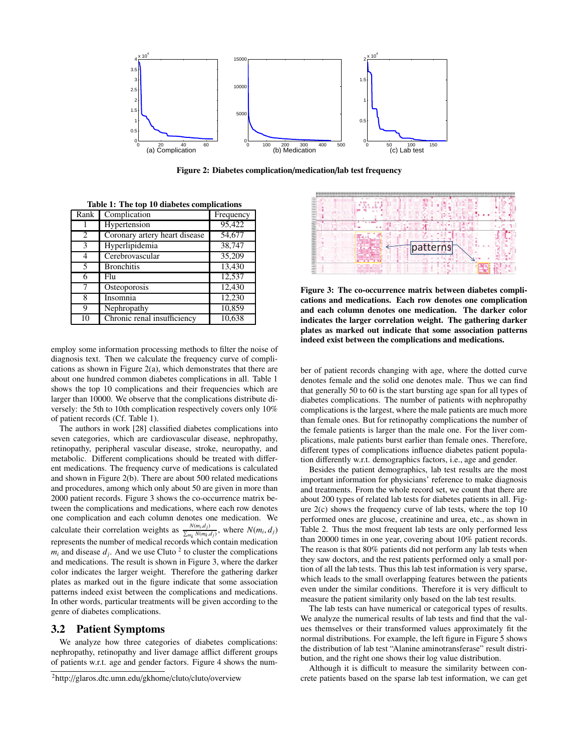

Figure 2: Diabetes complication/medication/lab test frequency

| Rank | Complication                  | Frequency |
|------|-------------------------------|-----------|
|      | Hypertension                  | 95,422    |
| 2    | Coronary artery heart disease | 54,677    |
| 3    | Hyperlipidemia                | 38,747    |
| 4    | Cerebrovascular               | 35,209    |
| 5    | <b>Bronchitis</b>             | 13,430    |
| 6    | Flu                           | 12,537    |
| 7    | Osteoporosis                  | 12,430    |
| 8    | Insomnia                      | 12,230    |
| 9    | Nephropathy                   | 10,859    |
| 10   | Chronic renal insufficiency   | 10.638    |

Table 1: The top 10 diabetes complications

employ some information processing methods to filter the noise of diagnosis text. Then we calculate the frequency curve of complications as shown in Figure 2(a), which demonstrates that there are about one hundred common diabetes complications in all. Table 1 shows the top 10 complications and their frequencies which are larger than 10000. We observe that the complications distribute diversely: the 5th to 10th complication respectively covers only 10% of patient records (Cf. Table 1).

The authors in work [28] classified diabetes complications into seven categories, which are cardiovascular disease, nephropathy, retinopathy, peripheral vascular disease, stroke, neuropathy, and metabolic. Different complications should be treated with different medications. The frequency curve of medications is calculated and shown in Figure 2(b). There are about 500 related medications and procedures, among which only about 50 are given in more than 2000 patient records. Figure 3 shows the co-occurrence matrix between the complications and medications, where each row denotes one complication and each column denotes one medication. We calculate their correlation weights as  $\frac{N(m_i,d_j)}{\sum_{m_k} N(m_k,d_j)}$ , where  $N(m_i,d_j)$ represents the number of medical records which contain medication  $m_i$  and disease  $d_i$ . And we use Cluto <sup>2</sup> to cluster the complications and medications. The result is shown in Figure 3, where the darker color indicates the larger weight. Therefore the gathering darker plates as marked out in the figure indicate that some association patterns indeed exist between the complications and medications. In other words, particular treatments will be given according to the genre of diabetes complications.

## 3.2 Patient Symptoms

We analyze how three categories of diabetes complications: nephropathy, retinopathy and liver damage afflict different groups of patients w.r.t. age and gender factors. Figure 4 shows the num-



Figure 3: The co-occurrence matrix between diabetes complications and medications. Each row denotes one complication and each column denotes one medication. The darker color indicates the larger correlation weight. The gathering darker plates as marked out indicate that some association patterns indeed exist between the complications and medications.

ber of patient records changing with age, where the dotted curve denotes female and the solid one denotes male. Thus we can find that generally 50 to 60 is the start bursting age span for all types of diabetes complications. The number of patients with nephropathy complications is the largest, where the male patients are much more than female ones. But for retinopathy complications the number of the female patients is larger than the male one. For the liver complications, male patients burst earlier than female ones. Therefore, different types of complications influence diabetes patient population differently w.r.t. demographics factors, i.e., age and gender.

Besides the patient demographics, lab test results are the most important information for physicians' reference to make diagnosis and treatments. From the whole record set, we count that there are about 200 types of related lab tests for diabetes patients in all. Figure 2(c) shows the frequency curve of lab tests, where the top 10 performed ones are glucose, creatinine and urea, etc., as shown in Table 2. Thus the most frequent lab tests are only performed less than 20000 times in one year, covering about 10% patient records. The reason is that 80% patients did not perform any lab tests when they saw doctors, and the rest patients performed only a small portion of all the lab tests. Thus this lab test information is very sparse, which leads to the small overlapping features between the patients even under the similar conditions. Therefore it is very difficult to measure the patient similarity only based on the lab test results.

The lab tests can have numerical or categorical types of results. We analyze the numerical results of lab tests and find that the values themselves or their transformed values approximately fit the normal distributions. For example, the left figure in Figure 5 shows the distribution of lab test "Alanine aminotransferase" result distribution, and the right one shows their log value distribution.

Although it is difficult to measure the similarity between concrete patients based on the sparse lab test information, we can get

<sup>2</sup>http://glaros.dtc.umn.edu/gkhome/cluto/cluto/overview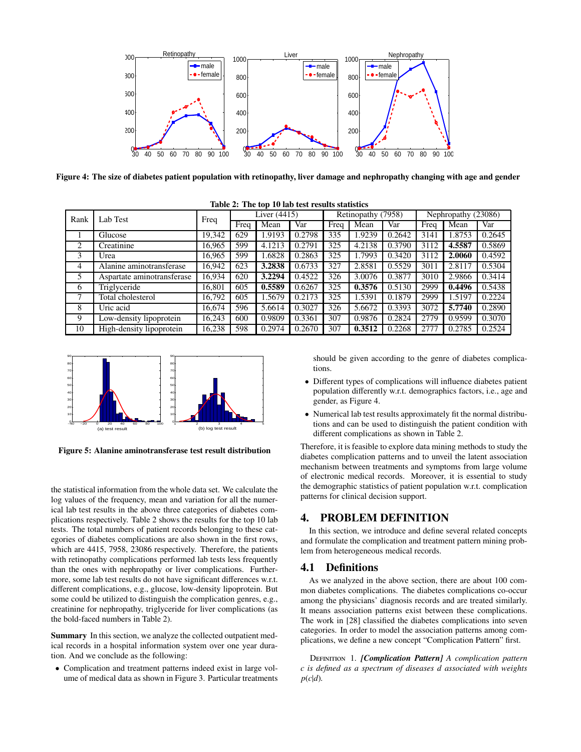

Figure 4: The size of diabetes patient population with retinopathy, liver damage and nephropathy changing with age and gender

| Lab Test<br>Rank |                            | Freq   | Liver (4415) |        | Retinopathy (7958) |      | Nephropathy (23086) |        |      |        |        |
|------------------|----------------------------|--------|--------------|--------|--------------------|------|---------------------|--------|------|--------|--------|
|                  |                            |        | Freq         | Mean   | Var                | Freq | Mean                | Var    | Frea | Mean   | Var    |
|                  | Glucose                    | 19.342 | 629          | 1.9193 | 0.2798             | 335  | 1.9239              | 0.2642 | 3141 | 1.8753 | 0.2645 |
| 2                | Creatinine                 | 16.965 | 599          | 4.1213 | 0.2791             | 325  | 4.2138              | 0.3790 | 3112 | 4.5587 | 0.5869 |
| 3                | Urea                       | 16.965 | 599          | .6828  | 0.2863             | 325  | 1.7993              | 0.3420 | 3112 | 2.0060 | 0.4592 |
| 4                | Alanine aminotransferase   | 16,942 | 623          | 3.2838 | 0.6733             | 327  | 2.8581              | 0.5529 | 3011 | 2.8117 | 0.5304 |
|                  | Aspartate aminotransferase | 16.934 | 620          | 3.2294 | 0.4522             | 326  | 3.0076              | 0.3877 | 3010 | 2.9866 | 0.3414 |
| 6                | Triglyceride               | 16.801 | 605          | 0.5589 | 0.6267             | 325  | 0.3576              | 0.5130 | 2999 | 0.4496 | 0.5438 |
| 7                | Total cholesterol          | 16.792 | 605          | 1.5679 | 0.2173             | 325  | 1.5391              | 0.1879 | 2999 | .5197  | 0.2224 |
| 8                | Uric acid                  | 16.674 | 596          | 5.6614 | 0.3027             | 326  | 5.6672              | 0.3393 | 3072 | 5.7740 | 0.2890 |
| 9                | Low-density lipoprotein    | 16,243 | 600          | 0.9809 | 0.3361             | 307  | 0.9876              | 0.2824 | 2779 | 0.9599 | 0.3070 |
| 10               | High-density lipoprotein   | 16,238 | 598          | 0.2974 | 0.2670             | 307  | 0.3512              | 0.2268 | 2777 | 0.2785 | 0.2524 |

Table 2: The top 10 lab test results statistics



Figure 5: Alanine aminotransferase test result distribution

the statistical information from the whole data set. We calculate the log values of the frequency, mean and variation for all the numerical lab test results in the above three categories of diabetes complications respectively. Table 2 shows the results for the top 10 lab tests. The total numbers of patient records belonging to these categories of diabetes complications are also shown in the first rows, which are 4415, 7958, 23086 respectively. Therefore, the patients with retinopathy complications performed lab tests less frequently than the ones with nephropathy or liver complications. Furthermore, some lab test results do not have significant differences w.r.t. different complications, e.g., glucose, low-density lipoprotein. But some could be utilized to distinguish the complication genres, e.g., creatinine for nephropathy, triglyceride for liver complications (as the bold-faced numbers in Table 2).

Summary In this section, we analyze the collected outpatient medical records in a hospital information system over one year duration. And we conclude as the following:

• Complication and treatment patterns indeed exist in large volume of medical data as shown in Figure 3. Particular treatments

should be given according to the genre of diabetes complications.

- Different types of complications will influence diabetes patient population differently w.r.t. demographics factors, i.e., age and gender, as Figure 4.
- Numerical lab test results approximately fit the normal distributions and can be used to distinguish the patient condition with different complications as shown in Table 2.

Therefore, it is feasible to explore data mining methods to study the diabetes complication patterns and to unveil the latent association mechanism between treatments and symptoms from large volume of electronic medical records. Moreover, it is essential to study the demographic statistics of patient population w.r.t. complication patterns for clinical decision support.

#### 4. PROBLEM DEFINITION

In this section, we introduce and define several related concepts and formulate the complication and treatment pattern mining problem from heterogeneous medical records.

#### 4.1 Definitions

As we analyzed in the above section, there are about 100 common diabetes complications. The diabetes complications co-occur among the physicians' diagnosis records and are treated similarly. It means association patterns exist between these complications. The work in [28] classified the diabetes complications into seven categories. In order to model the association patterns among complications, we define a new concept "Complication Pattern" first.

Definition 1. *[Complication Pattern] A complication pattern c is defined as a spectrum of diseases d associated with weights p*(*c*|*d*)*.*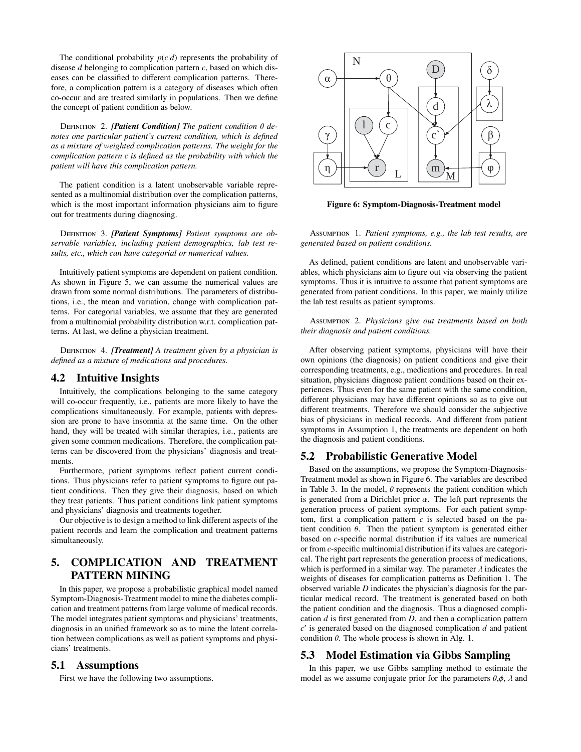The conditional probability  $p(c|d)$  represents the probability of disease *d* belonging to complication pattern *c*, based on which diseases can be classified to different complication patterns. Therefore, a complication pattern is a category of diseases which often co-occur and are treated similarly in populations. Then we define the concept of patient condition as below.

Definition 2. *[Patient Condition] The patient condition* θ *denotes one particular patient's current condition, which is defined as a mixture of weighted complication patterns. The weight for the complication pattern c is defined as the probability with which the patient will have this complication pattern.*

The patient condition is a latent unobservable variable represented as a multinomial distribution over the complication patterns, which is the most important information physicians aim to figure out for treatments during diagnosing.

DEFINITION 3. *[Patient Symptoms] Patient symptoms are observable variables, including patient demographics, lab test results, etc., which can have categorial or numerical values.*

Intuitively patient symptoms are dependent on patient condition. As shown in Figure 5, we can assume the numerical values are drawn from some normal distributions. The parameters of distributions, i.e., the mean and variation, change with complication patterns. For categorial variables, we assume that they are generated from a multinomial probability distribution w.r.t. complication patterns. At last, we define a physician treatment.

Definition 4. *[Treatment] A treatment given by a physician is defined as a mixture of medications and procedures.*

### 4.2 Intuitive Insights

Intuitively, the complications belonging to the same category will co-occur frequently, i.e., patients are more likely to have the complications simultaneously. For example, patients with depression are prone to have insomnia at the same time. On the other hand, they will be treated with similar therapies, i.e., patients are given some common medications. Therefore, the complication patterns can be discovered from the physicians' diagnosis and treatments.

Furthermore, patient symptoms reflect patient current conditions. Thus physicians refer to patient symptoms to figure out patient conditions. Then they give their diagnosis, based on which they treat patients. Thus patient conditions link patient symptoms and physicians' diagnosis and treatments together.

Our objective is to design a method to link different aspects of the patient records and learn the complication and treatment patterns simultaneously.

# 5. COMPLICATION AND TREATMENT PATTERN MINING

In this paper, we propose a probabilistic graphical model named Symptom-Diagnosis-Treatment model to mine the diabetes complication and treatment patterns from large volume of medical records. The model integrates patient symptoms and physicians' treatments, diagnosis in an unified framework so as to mine the latent correlation between complications as well as patient symptoms and physicians' treatments.

## 5.1 Assumptions

First we have the following two assumptions.



Figure 6: Symptom-Diagnosis-Treatment model

Assumption 1. *Patient symptoms, e.g., the lab test results, are generated based on patient conditions.*

As defined, patient conditions are latent and unobservable variables, which physicians aim to figure out via observing the patient symptoms. Thus it is intuitive to assume that patient symptoms are generated from patient conditions. In this paper, we mainly utilize the lab test results as patient symptoms.

Assumption 2. *Physicians give out treatments based on both their diagnosis and patient conditions.*

After observing patient symptoms, physicians will have their own opinions (the diagnosis) on patient conditions and give their corresponding treatments, e.g., medications and procedures. In real situation, physicians diagnose patient conditions based on their experiences. Thus even for the same patient with the same condition, different physicians may have different opinions so as to give out different treatments. Therefore we should consider the subjective bias of physicians in medical records. And different from patient symptoms in Assumption 1, the treatments are dependent on both the diagnosis and patient conditions.

## 5.2 Probabilistic Generative Model

Based on the assumptions, we propose the Symptom-Diagnosis-Treatment model as shown in Figure 6. The variables are described in Table 3. In the model,  $\theta$  represents the patient condition which is generated from a Dirichlet prior  $\alpha$ . The left part represents the generation process of patient symptoms. For each patient symptom, first a complication pattern *c* is selected based on the patient condition  $\theta$ . Then the patient symptom is generated either based on *c*-specific normal distribution if its values are numerical or from *c*-specific multinomial distribution if its values are categorical. The right part represents the generation process of medications, which is performed in a similar way. The parameter  $\lambda$  indicates the weights of diseases for complication patterns as Definition 1. The observed variable *D* indicates the physician's diagnosis for the particular medical record. The treatment is generated based on both the patient condition and the diagnosis. Thus a diagnosed complication *d* is first generated from *D*, and then a complication pattern *c*- is generated based on the diagnosed complication *d* and patient condition  $\theta$ . The whole process is shown in Alg. 1.

## 5.3 Model Estimation via Gibbs Sampling

In this paper, we use Gibbs sampling method to estimate the model as we assume conjugate prior for the parameters  $\theta$ , $\phi$ ,  $\lambda$  and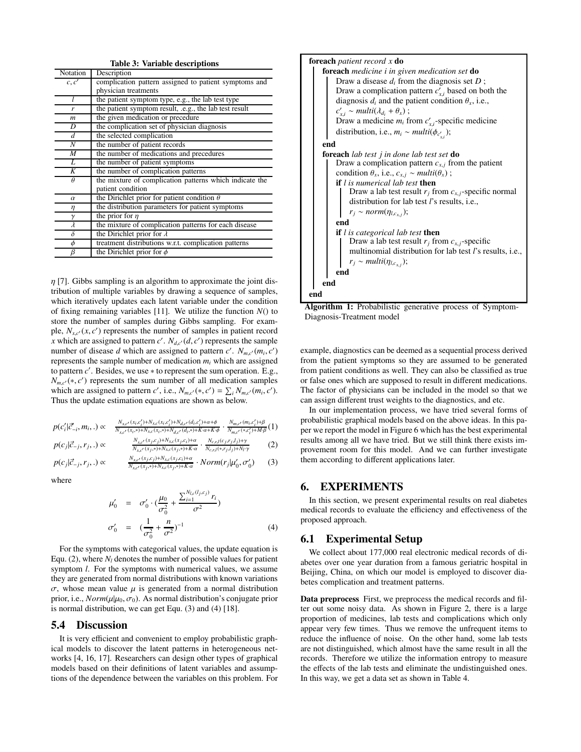| <b>Table 3: Variable descriptions</b> |                                                         |  |  |  |  |  |
|---------------------------------------|---------------------------------------------------------|--|--|--|--|--|
| Notation                              | Description                                             |  |  |  |  |  |
| c, c'                                 | complication pattern assigned to patient symptoms and   |  |  |  |  |  |
|                                       | physician treatments                                    |  |  |  |  |  |
| l                                     | the patient symptom type, e.g., the lab test type       |  |  |  |  |  |
| r                                     | the patient symptom result, .e.g., the lab test result  |  |  |  |  |  |
| m                                     | the given medication or precedure                       |  |  |  |  |  |
| D                                     | the complication set of physician diagnosis             |  |  |  |  |  |
| d                                     | the selected complication                               |  |  |  |  |  |
| $\overline{N}$                        | the number of patient records                           |  |  |  |  |  |
| $\overline{M}$                        | the number of medications and precedures                |  |  |  |  |  |
| L                                     | the number of patient symptoms                          |  |  |  |  |  |
| $\overline{K}$                        | the number of complication patterns                     |  |  |  |  |  |
| $\theta$                              | the mixture of complication patterns which indicate the |  |  |  |  |  |
|                                       | patient condition                                       |  |  |  |  |  |
| $\alpha$                              | the Dirichlet prior for patient condition $\theta$      |  |  |  |  |  |
| η                                     | the distribution parameters for patient symptoms        |  |  |  |  |  |
| $\gamma$                              | the prior for $\eta$                                    |  |  |  |  |  |
| $\lambda$                             | the mixture of complication patterns for each disease   |  |  |  |  |  |
| δ                                     | the Dirichlet prior for $\lambda$                       |  |  |  |  |  |
| $\phi$                                | treatment distributions w.r.t. complication patterns    |  |  |  |  |  |
| β                                     | the Dirichlet prior for $\phi$                          |  |  |  |  |  |
|                                       |                                                         |  |  |  |  |  |

 $\eta$  [7]. Gibbs sampling is an algorithm to approximate the joint distribution of multiple variables by drawing a sequence of samples, which iteratively updates each latent variable under the condition of fixing remaining variables [11]. We utilize the function *N*() to store the number of samples during Gibbs sampling. For example,  $N_{x,c'}(x, c')$  represents the number of samples in patient record x which are assigned to pattern  $c'$ .  $N_{d,c'}(d, c')$  represents the sample number of disease *d* which are assigned to pattern *c'*.  $N_{m,c'}(m_i, c')$ represents the sample number of medication *mi* which are assigned to pattern  $c'$ . Besides, we use  $*$  to represent the sum operation. E.g.,  $N_{m,c'}(*, c')$  represents the sum number of all medication samples which are assigned to pattern *c'*, i.e.,  $N_{m,c'}(*, c') = \sum_i N_{m,c'}(m_i, c').$ Thus the update estimation equations are shown as below.

$$
p(c_i'|\vec{c}'_{-i}, m_i,.) \propto \frac{N_{xc'}(x_i,c_i') + N_{xc}(x_i,c_i') + N_{d,c'}(d_i,c_i') + \alpha + \phi}{N_{xc'}(x_i,*) + N_{xc'}(x_i,*) + N_{d,c'}(d_i,*) + K \cdot \alpha + K \cdot \phi} \cdot \frac{N_{mc'}(m_ic_i') + \beta}{N_{mc'}(m_ic_i') + M \cdot \beta} (1)
$$

$$
p(c_j|\vec{c}_{-j}, r_j,.) \propto \qquad \frac{N_{x,c'}(x_j,c_j) + N_{x,c}(x_j,c_i) + \alpha}{N_{x,c'}(x_j,*) + N_{x,c}(x_j,*) + K\alpha} \cdot \frac{N_{c,r,l}(c_j,r_j,l_j) + \gamma}{N_{c,r,l}(*,r_j,l_j) + N_{l'}\gamma}
$$
(2)

$$
p(c_j|\vec{c}_{-j}, r_j,.) \propto \frac{N_{xc}(x_j,c_j) + N_{xc}(x_j,c_i) + \alpha}{N_{xc}(x_j,s) + N_{xc}(x_j,s) + K\alpha} \cdot Norm(r_j|\mu'_0, \sigma'_0) \tag{3}
$$

where

$$
\mu'_0 = \sigma'_0 \cdot (\frac{\mu_0}{\sigma_0^2} + \frac{\sum_{i=1}^{N_{lc}(l_j, c_j)} r_i}{\sigma^2})
$$
\n
$$
\sigma'_0 = (\frac{1}{\sigma_0^2} + \frac{n}{\sigma^2})^{-1}
$$
\n(4)

For the symptoms with categorical values, the update equation is Equ. (2), where  $N_l$  denotes the number of possible values for patient symptom *l*. For the symptoms with numerical values, we assume they are generated from normal distributions with known variations σ, whose mean value μ is generated from a normal distribution prior, i.e.,  $Norm(\mu|\mu_0, \sigma_0)$ . As normal distribution's conjugate prior is normal distribution, we can get Equ. (3) and (4) [18].

#### 5.4 Discussion

It is very efficient and convenient to employ probabilistic graphical models to discover the latent patterns in heterogeneous networks [4, 16, 17]. Researchers can design other types of graphical models based on their definitions of latent variables and assumptions of the dependence between the variables on this problem. For



Algorithm 1: Probabilistic generative process of Symptom-Diagnosis-Treatment model

example, diagnostics can be deemed as a sequential process derived from the patient symptoms so they are assumed to be generated from patient conditions as well. They can also be classified as true or false ones which are supposed to result in different medications. The factor of physicians can be included in the model so that we can assign different trust weights to the diagnostics, and etc.

In our implementation process, we have tried several forms of probabilistic graphical models based on the above ideas. In this paper we report the model in Figure 6 which has the best experimental results among all we have tried. But we still think there exists improvement room for this model. And we can further investigate them according to different applications later.

#### 6. EXPERIMENTS

In this section, we present experimental results on real diabetes medical records to evaluate the efficiency and effectiveness of the proposed approach.

#### 6.1 Experimental Setup

We collect about 177,000 real electronic medical records of diabetes over one year duration from a famous geriatric hospital in Beijing, China, on which our model is employed to discover diabetes complication and treatment patterns.

Data preprocess First, we preprocess the medical records and filter out some noisy data. As shown in Figure 2, there is a large proportion of medicines, lab tests and complications which only appear very few times. Thus we remove the unfrequent items to reduce the influence of noise. On the other hand, some lab tests are not distinguished, which almost have the same result in all the records. Therefore we utilize the information entropy to measure the effects of the lab tests and eliminate the undistinguished ones. In this way, we get a data set as shown in Table 4.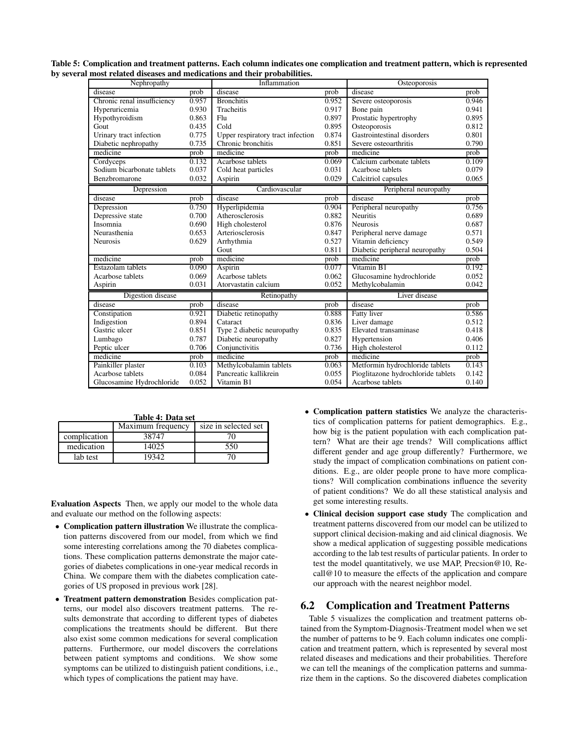| Nephropathy                 |                     | Inflammation                        |       | Osteoporosis                       |       |  |
|-----------------------------|---------------------|-------------------------------------|-------|------------------------------------|-------|--|
| disease                     | prob                | disease<br>disease<br>prob          |       |                                    | prob  |  |
| Chronic renal insufficiency | 0.957               | <b>Bronchitis</b><br>0.952          |       | Severe osteoporosis                | 0.946 |  |
| Hyperuricemia               | 0.930               | Tracheitis                          | 0.917 | Bone pain                          | 0.941 |  |
| Hypothyroidism              | 0.863               | Flu                                 | 0.897 | Prostatic hypertrophy              | 0.895 |  |
| Gout                        | 0.435               | Cold                                | 0.895 | Osteoporosis                       | 0.812 |  |
| Urinary tract infection     | 0.775               | Upper respiratory tract infection   | 0.874 | Gastrointestinal disorders         | 0.801 |  |
| Diabetic nephropathy        | 0.735               | Chronic bronchitis                  | 0.851 | 0.790<br>Severe osteoarthritis     |       |  |
| medicine                    | prob                | medicine                            | prob  | medicine<br>prob                   |       |  |
| Cordyceps                   | 0.132               | Acarbose tablets                    | 0.069 | Calcium carbonate tablets<br>0.109 |       |  |
| Sodium bicarbonate tablets  | 0.037               | Cold heat particles                 | 0.031 | Acarbose tablets                   | 0.079 |  |
| Benzbromarone               | 0.032               | Aspirin                             | 0.029 | Calcitriol capsules                | 0.065 |  |
| Depression                  |                     | Cardiovascular                      |       | Peripheral neuropathy              |       |  |
| disease                     | prob                | disease<br>prob                     |       | disease<br>prob                    |       |  |
| Depression                  | 0.750               | Hyperlipidemia                      | 0.904 | Peripheral neuropathy              | 0.756 |  |
| Depressive state            | 0.700               | 0.882<br>Atherosclerosis            |       | <b>Neuritis</b>                    | 0.689 |  |
| Insomnia                    | 0.690               | High cholesterol                    | 0.876 | <b>Neurosis</b>                    | 0.687 |  |
| Neurasthenia                | 0.653               | Arteriosclerosis                    | 0.847 | Peripheral nerve damage            | 0.571 |  |
| <b>Neurosis</b>             | 0.629               | 0.527<br>Arrhythmia                 |       | Vitamin deficiency                 | 0.549 |  |
|                             |                     | 0.811<br>Gout                       |       | Diabetic peripheral neuropathy     | 0.504 |  |
| medicine                    | prob                | medicine                            | prob  | medicine                           | prob  |  |
| Estazolam tablets           | 0.090               | Aspirin                             | 0.077 | Vitamin B1<br>0.192                |       |  |
| Acarbose tablets            | 0.069               | Acarbose tablets<br>0.062           |       | Glucosamine hydrochloride          | 0.052 |  |
| Aspirin                     | 0.031               | 0.052<br>Atorvastatin calcium       |       | Methylcobalamin                    | 0.042 |  |
| Digestion disease           |                     | Retinopathy                         |       | Liver disease                      |       |  |
| disease                     | prob                | disease                             | prob  | disease                            | prob  |  |
| Constipation                | 0.921               | Diabetic retinopathy                | 0.888 | <b>Fatty</b> liver                 | 0.586 |  |
| Indigestion                 | 0.894               | Cataract                            | 0.836 | Liver damage                       | 0.512 |  |
| Gastric ulcer               | 0.851               | 0.835<br>Type 2 diabetic neuropathy |       | Elevated transaminase              | 0.418 |  |
| Lumbago                     | 0.787               | Diabetic neuropathy<br>0.827        |       | Hypertension                       | 0.406 |  |
| Peptic ulcer                | 0.706               | Conjunctivitis<br>0.736             |       | High cholesterol                   | 0.112 |  |
| medicine                    | prob                | medicine<br>prob                    |       | medicine                           | prob  |  |
| Painkiller plaster          | 0.103               | Methylcobalamin tablets<br>0.063    |       | Metformin hydrochloride tablets    | 0.143 |  |
| Acarbose tablets            | 0.084               | Pancreatic kallikrein<br>0.055      |       | Pioglitazone hydrochloride tablets | 0.142 |  |
| Glucosamine Hydrochloride   | 0.052<br>Vitamin B1 |                                     | 0.054 | Acarbose tablets                   | 0.140 |  |

Table 5: Complication and treatment patterns. Each column indicates one complication and treatment pattern, which is represented by several most related diseases and medications and their probabilities.

Table 4: Data set

|              | Maximum frequency | size in selected set |
|--------------|-------------------|----------------------|
| complication | 38747             |                      |
| medication   | 14025             | 550                  |
| lab test     | 19342             |                      |

Evaluation Aspects Then, we apply our model to the whole data and evaluate our method on the following aspects:

- Complication pattern illustration We illustrate the complication patterns discovered from our model, from which we find some interesting correlations among the 70 diabetes complications. These complication patterns demonstrate the major categories of diabetes complications in one-year medical records in China. We compare them with the diabetes complication categories of US proposed in previous work [28].
- Treatment pattern demonstration Besides complication patterns, our model also discovers treatment patterns. The results demonstrate that according to different types of diabetes complications the treatments should be different. But there also exist some common medications for several complication patterns. Furthermore, our model discovers the correlations between patient symptoms and conditions. We show some symptoms can be utilized to distinguish patient conditions, i.e., which types of complications the patient may have.
- Complication pattern statistics We analyze the characteristics of complication patterns for patient demographics. E.g., how big is the patient population with each complication pattern? What are their age trends? Will complications afflict different gender and age group differently? Furthermore, we study the impact of complication combinations on patient conditions. E.g., are older people prone to have more complications? Will complication combinations influence the severity of patient conditions? We do all these statistical analysis and get some interesting results.
- Clinical decision support case study The complication and treatment patterns discovered from our model can be utilized to support clinical decision-making and aid clinical diagnosis. We show a medical application of suggesting possible medications according to the lab test results of particular patients. In order to test the model quantitatively, we use MAP, Precsion@10, Recall@10 to measure the effects of the application and compare our approach with the nearest neighbor model.

# 6.2 Complication and Treatment Patterns

Table 5 visualizes the complication and treatment patterns obtained from the Symptom-Diagnosis-Treatment model when we set the number of patterns to be 9. Each column indicates one complication and treatment pattern, which is represented by several most related diseases and medications and their probabilities. Therefore we can tell the meanings of the complication patterns and summarize them in the captions. So the discovered diabetes complication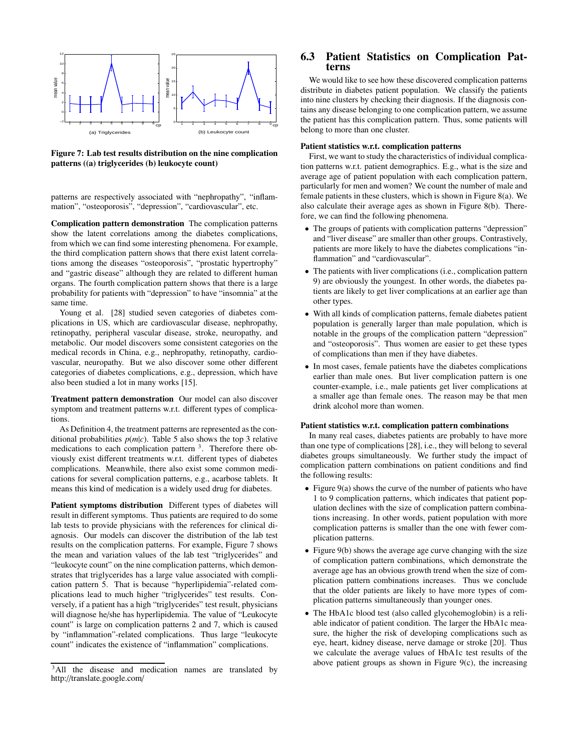

Figure 7: Lab test results distribution on the nine complication patterns ((a) triglycerides (b) leukocyte count)

patterns are respectively associated with "nephropathy", "inflammation", "osteoporosis", "depression", "cardiovascular", etc.

Complication pattern demonstration The complication patterns show the latent correlations among the diabetes complications, from which we can find some interesting phenomena. For example, the third complication pattern shows that there exist latent correlations among the diseases "osteoporosis", "prostatic hypertrophy" and "gastric disease" although they are related to different human organs. The fourth complication pattern shows that there is a large probability for patients with "depression" to have "insomnia" at the same time.

Young et al. [28] studied seven categories of diabetes complications in US, which are cardiovascular disease, nephropathy, retinopathy, peripheral vascular disease, stroke, neuropathy, and metabolic. Our model discovers some consistent categories on the medical records in China, e.g., nephropathy, retinopathy, cardiovascular, neuropathy. But we also discover some other different categories of diabetes complications, e.g., depression, which have also been studied a lot in many works [15].

Treatment pattern demonstration Our model can also discover symptom and treatment patterns w.r.t. different types of complications.

As Definition 4, the treatment patterns are represented as the conditional probabilities  $p(m|c)$ . Table 5 also shows the top 3 relative medications to each complication pattern 3. Therefore there obviously exist different treatments w.r.t. different types of diabetes complications. Meanwhile, there also exist some common medications for several complication patterns, e.g., acarbose tablets. It means this kind of medication is a widely used drug for diabetes.

Patient symptoms distribution Different types of diabetes will result in different symptoms. Thus patients are required to do some lab tests to provide physicians with the references for clinical diagnosis. Our models can discover the distribution of the lab test results on the complication patterns. For example, Figure 7 shows the mean and variation values of the lab test "triglycerides" and "leukocyte count" on the nine complication patterns, which demonstrates that triglycerides has a large value associated with complication pattern 5. That is because "hyperlipidemia"-related complications lead to much higher "triglycerides" test results. Conversely, if a patient has a high "triglycerides" test result, physicians will diagnose he/she has hyperlipidemia. The value of "Leukocyte count" is large on complication patterns 2 and 7, which is caused by "inflammation"-related complications. Thus large "leukocyte count" indicates the existence of "inflammation" complications.

#### 6.3 Patient Statistics on Complication Patterns

We would like to see how these discovered complication patterns distribute in diabetes patient population. We classify the patients into nine clusters by checking their diagnosis. If the diagnosis contains any disease belonging to one complication pattern, we assume the patient has this complication pattern. Thus, some patients will belong to more than one cluster.

#### Patient statistics w.r.t. complication patterns

First, we want to study the characteristics of individual complication patterns w.r.t. patient demographics. E.g., what is the size and average age of patient population with each complication pattern, particularly for men and women? We count the number of male and female patients in these clusters, which is shown in Figure 8(a). We also calculate their average ages as shown in Figure 8(b). Therefore, we can find the following phenomena.

- The groups of patients with complication patterns "depression" and "liver disease" are smaller than other groups. Contrastively, patients are more likely to have the diabetes complications "inflammation" and "cardiovascular".
- The patients with liver complications (i.e., complication pattern 9) are obviously the youngest. In other words, the diabetes patients are likely to get liver complications at an earlier age than other types.
- With all kinds of complication patterns, female diabetes patient population is generally larger than male population, which is notable in the groups of the complication pattern "depression" and "osteoporosis". Thus women are easier to get these types of complications than men if they have diabetes.
- In most cases, female patients have the diabetes complications earlier than male ones. But liver complication pattern is one counter-example, i.e., male patients get liver complications at a smaller age than female ones. The reason may be that men drink alcohol more than women.

#### Patient statistics w.r.t. complication pattern combinations

In many real cases, diabetes patients are probably to have more than one type of complications [28], i.e., they will belong to several diabetes groups simultaneously. We further study the impact of complication pattern combinations on patient conditions and find the following results:

- Figure 9(a) shows the curve of the number of patients who have 1 to 9 complication patterns, which indicates that patient population declines with the size of complication pattern combinations increasing. In other words, patient population with more complication patterns is smaller than the one with fewer complication patterns.
- Figure 9(b) shows the average age curve changing with the size of complication pattern combinations, which demonstrate the average age has an obvious growth trend when the size of complication pattern combinations increases. Thus we conclude that the older patients are likely to have more types of complication patterns simultaneously than younger ones.
- The HbA1c blood test (also called glycohemoglobin) is a reliable indicator of patient condition. The larger the HbA1c measure, the higher the risk of developing complications such as eye, heart, kidney disease, nerve damage or stroke [20]. Thus we calculate the average values of HbA1c test results of the above patient groups as shown in Figure 9(c), the increasing

<sup>&</sup>lt;sup>3</sup>All the disease and medication names are translated by http://translate.google.com/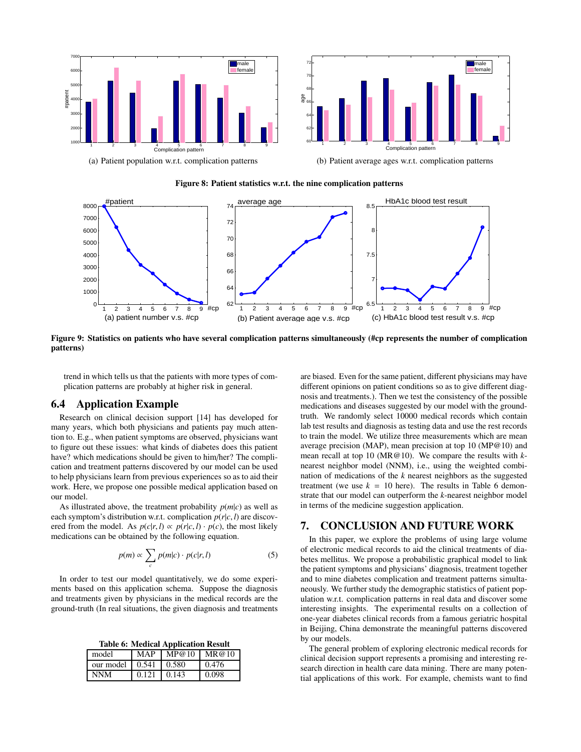



(b) Patient average ages w.r.t. complication patterns

Figure 8: Patient statistics w.r.t. the nine complication patterns



Figure 9: Statistics on patients who have several complication patterns simultaneously (#cp represents the number of complication patterns)

trend in which tells us that the patients with more types of complication patterns are probably at higher risk in general.

# 6.4 Application Example

Research on clinical decision support [14] has developed for many years, which both physicians and patients pay much attention to. E.g., when patient symptoms are observed, physicians want to figure out these issues: what kinds of diabetes does this patient have? which medications should be given to him/her? The complication and treatment patterns discovered by our model can be used to help physicians learn from previous experiences so as to aid their work. Here, we propose one possible medical application based on our model.

As illustrated above, the treatment probability  $p(m|c)$  as well as each symptom's distribution w.r.t. complication  $p(r|c, l)$  are discovered from the model. As  $p(c|r, l) \propto p(r|c, l) \cdot p(c)$ , the most likely medications can be obtained by the following equation.

$$
p(m) \propto \sum_{c} p(m|c) \cdot p(c|r, l)
$$
 (5)

In order to test our model quantitatively, we do some experiments based on this application schema. Suppose the diagnosis and treatments given by physicians in the medical records are the ground-truth (In real situations, the given diagnosis and treatments

Table 6: Medical Application Result

| model                  | <b>MAP</b> | $MP@10$ $MR@10$ |       |  |  |  |  |  |
|------------------------|------------|-----------------|-------|--|--|--|--|--|
| our model $\mid$ 0.541 |            | 0.580           | 0.476 |  |  |  |  |  |
| NNM                    | 0.121      | 0.143           | 0.098 |  |  |  |  |  |

are biased. Even for the same patient, different physicians may have different opinions on patient conditions so as to give different diagnosis and treatments.). Then we test the consistency of the possible medications and diseases suggested by our model with the groundtruth. We randomly select 10000 medical records which contain lab test results and diagnosis as testing data and use the rest records to train the model. We utilize three measurements which are mean average precision (MAP), mean precision at top 10 (MP@10) and mean recall at top 10 (MR@10). We compare the results with *k*nearest neighbor model (NNM), i.e., using the weighted combination of medications of the *k* nearest neighbors as the suggested treatment (we use  $k = 10$  here). The results in Table 6 demonstrate that our model can outperform the *k*-nearest neighbor model in terms of the medicine suggestion application.

#### 7. CONCLUSION AND FUTURE WORK

In this paper, we explore the problems of using large volume of electronic medical records to aid the clinical treatments of diabetes mellitus. We propose a probabilistic graphical model to link the patient symptoms and physicians' diagnosis, treatment together and to mine diabetes complication and treatment patterns simultaneously. We further study the demographic statistics of patient population w.r.t. complication patterns in real data and discover some interesting insights. The experimental results on a collection of one-year diabetes clinical records from a famous geriatric hospital in Beijing, China demonstrate the meaningful patterns discovered by our models.

The general problem of exploring electronic medical records for clinical decision support represents a promising and interesting research direction in health care data mining. There are many potential applications of this work. For example, chemists want to find